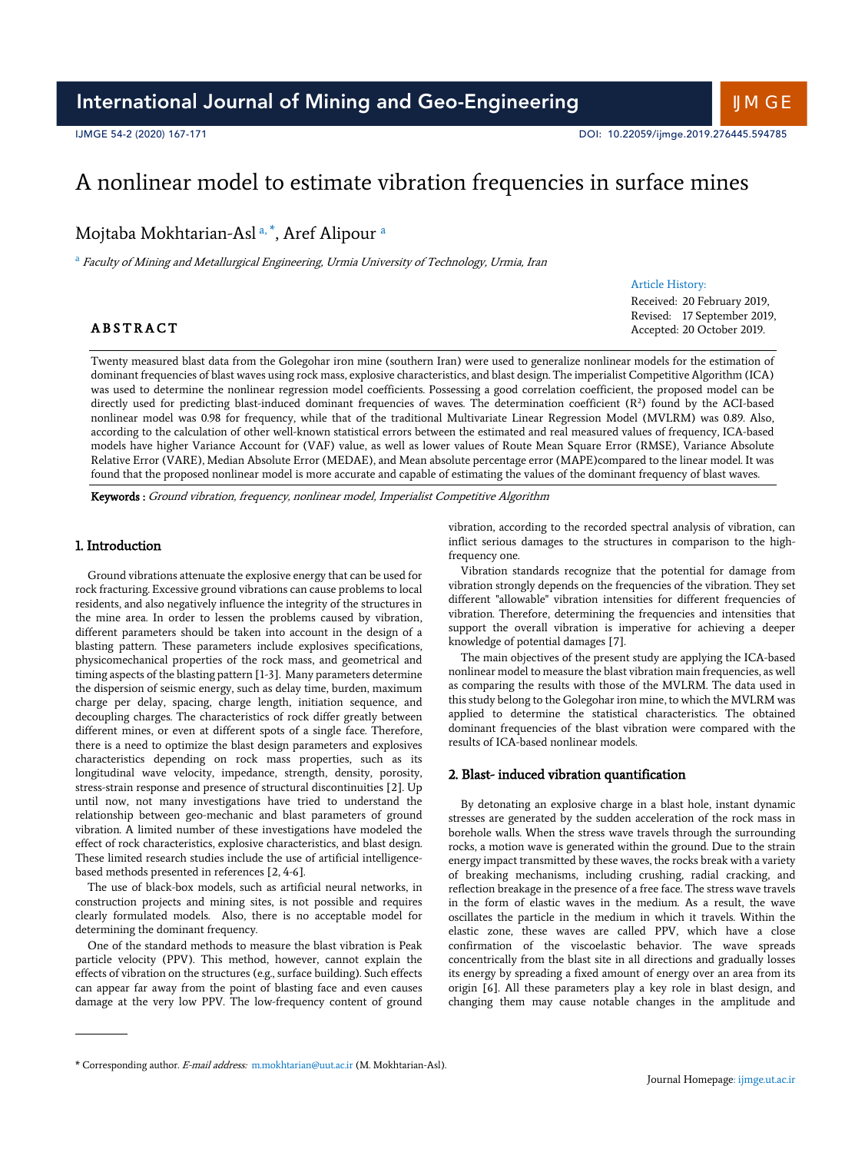# A nonlinear model to estimate vibration frequencies in surface mines

Mojtaba Mokhtarian-Asl a, \*, Aref Alipour a

<sup>a</sup> Faculty of Mining and Metallurgical Engineering, Urmia University of Technology, Urmia, Iran

## Article History:

Received: 20 February 2019, Revised: 17 September 2019, Accepted: 20 October 2019.

# **ABSTRACT**

Twenty measured blast data from the Golegohar iron mine (southern Iran) were used to generalize nonlinear models for the estimation of dominant frequencies of blast waves using rock mass, explosive characteristics, and blast design. The imperialist Competitive Algorithm (ICA) was used to determine the nonlinear regression model coefficients. Possessing a good correlation coefficient, the proposed model can be directly used for predicting blast-induced dominant frequencies of waves. The determination coefficient (R2 ) found by the ACI-based nonlinear model was 0.98 for frequency, while that of the traditional Multivariate Linear Regression Model (MVLRM) was 0.89. Also, according to the calculation of other well-known statistical errors between the estimated and real measured values of frequency, ICA-based models have higher Variance Account for (VAF) value, as well as lower values of Route Mean Square Error (RMSE), Variance Absolute Relative Error (VARE), Median Absolute Error (MEDAE), and Mean absolute percentage error (MAPE)compared to the linear model. It was found that the proposed nonlinear model is more accurate and capable of estimating the values of the dominant frequency of blast waves.

Keywords : Ground vibration, frequency, nonlinear model, Imperialist Competitive Algorithm

## 1. Introduction

Ground vibrations attenuate the explosive energy that can be used for rock fracturing. Excessive ground vibrations can cause problems to local residents, and also negatively influence the integrity of the structures in the mine area. In order to lessen the problems caused by vibration, different parameters should be taken into account in the design of a blasting pattern. These parameters include explosives specifications, physicomechanical properties of the rock mass, and geometrical and timing aspects of the blasting pattern [1-3]. Many parameters determine the dispersion of seismic energy, such as delay time, burden, maximum charge per delay, spacing, charge length, initiation sequence, and decoupling charges. The characteristics of rock differ greatly between different mines, or even at different spots of a single face. Therefore, there is a need to optimize the blast design parameters and explosives characteristics depending on rock mass properties, such as its longitudinal wave velocity, impedance, strength, density, porosity, stress-strain response and presence of structural discontinuities [2]. Up until now, not many investigations have tried to understand the relationship between geo-mechanic and blast parameters of ground vibration. A limited number of these investigations have modeled the effect of rock characteristics, explosive characteristics, and blast design. These limited research studies include the use of artificial intelligencebased methods presented in references [2, 4-6].

The use of black-box models, such as artificial neural networks, in construction projects and mining sites, is not possible and requires clearly formulated models. Also, there is no acceptable model for determining the dominant frequency.

One of the standard methods to measure the blast vibration is Peak particle velocity (PPV). This method, however, cannot explain the effects of vibration on the structures (e.g., surface building). Such effects can appear far away from the point of blasting face and even causes damage at the very low PPV. The low-frequency content of ground

vibration, according to the recorded spectral analysis of vibration, can inflict serious damages to the structures in comparison to the highfrequency one.

Vibration standards recognize that the potential for damage from vibration strongly depends on the frequencies of the vibration. They set different "allowable" vibration intensities for different frequencies of vibration. Therefore, determining the frequencies and intensities that support the overall vibration is imperative for achieving a deeper knowledge of potential damages [7].

The main objectives of the present study are applying the ICA-based nonlinear model to measure the blast vibration main frequencies, as well as comparing the results with those of the MVLRM. The data used in this study belong to the Golegohar iron mine, to which the MVLRM was applied to determine the statistical characteristics. The obtained dominant frequencies of the blast vibration were compared with the results of ICA-based nonlinear models.

#### 2. Blast- induced vibration quantification

By detonating an explosive charge in a blast hole, instant dynamic stresses are generated by the sudden acceleration of the rock mass in borehole walls. When the stress wave travels through the surrounding rocks, a motion wave is generated within the ground. Due to the strain energy impact transmitted by these waves, the rocks break with a variety of breaking mechanisms, including crushing, radial cracking, and reflection breakage in the presence of a free face. The stress wave travels in the form of elastic waves in the medium. As a result, the wave oscillates the particle in the medium in which it travels. Within the elastic zone, these waves are called PPV, which have a close confirmation of the viscoelastic behavior. The wave spreads concentrically from the blast site in all directions and gradually losses its energy by spreading a fixed amount of energy over an area from its origin [6]. All these parameters play a key role in blast design, and changing them may cause notable changes in the amplitude and

<sup>\*</sup> Corresponding author. E-mail address: m.mokhtarian@uut.ac.ir (M. Mokhtarian-Asl).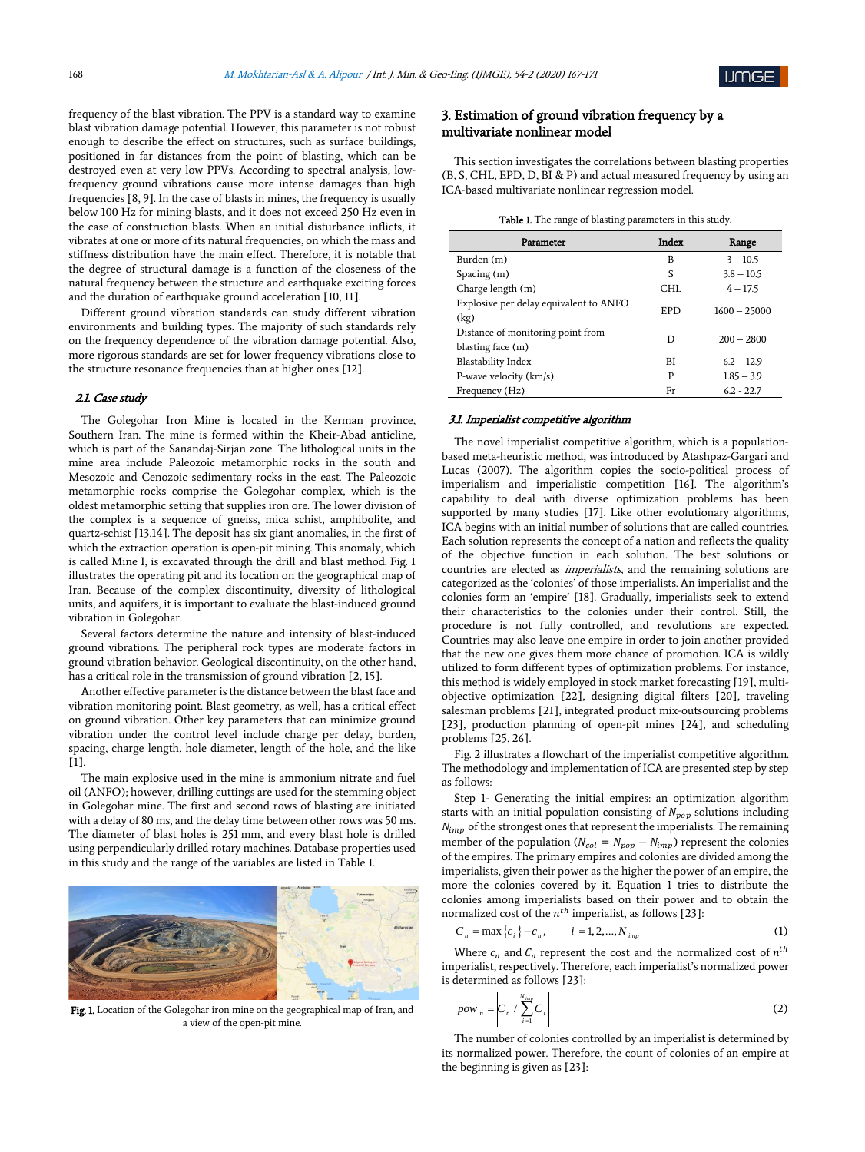frequency of the blast vibration. The PPV is a standard way to examine blast vibration damage potential. However, this parameter is not robust enough to describe the effect on structures, such as surface buildings, positioned in far distances from the point of blasting, which can be destroyed even at very low PPVs. According to spectral analysis, lowfrequency ground vibrations cause more intense damages than high frequencies [8, 9]. In the case of blasts in mines, the frequency is usually below 100 Hz for mining blasts, and it does not exceed 250 Hz even in the case of construction blasts. When an initial disturbance inflicts, it vibrates at one or more of its natural frequencies, on which the mass and stiffness distribution have the main effect. Therefore, it is notable that the degree of structural damage is a function of the closeness of the natural frequency between the structure and earthquake exciting forces and the duration of earthquake ground acceleration [10, 11].

Different ground vibration standards can study different vibration environments and building types. The majority of such standards rely on the frequency dependence of the vibration damage potential. Also, more rigorous standards are set for lower frequency vibrations close to the structure resonance frequencies than at higher ones [12].

#### 2.1. Case study

The Golegohar Iron Mine is located in the Kerman province, Southern Iran. The mine is formed within the Kheir-Abad anticline, which is part of the Sanandaj-Sirjan zone. The lithological units in the mine area include Paleozoic metamorphic rocks in the south and Mesozoic and Cenozoic sedimentary rocks in the east. The Paleozoic metamorphic rocks comprise the Golegohar complex, which is the oldest metamorphic setting that supplies iron ore. The lower division of the complex is a sequence of gneiss, mica schist, amphibolite, and quartz-schist [13,14]. The deposit has six giant anomalies, in the first of which the extraction operation is open-pit mining. This anomaly, which is called Mine I, is excavated through the drill and blast method. Fig. 1 illustrates the operating pit and its location on the geographical map of Iran. Because of the complex discontinuity, diversity of lithological units, and aquifers, it is important to evaluate the blast-induced ground vibration in Golegohar.

Several factors determine the nature and intensity of blast-induced ground vibrations. The peripheral rock types are moderate factors in ground vibration behavior. Geological discontinuity, on the other hand, has a critical role in the transmission of ground vibration [2, 15].

Another effective parameter is the distance between the blast face and vibration monitoring point. Blast geometry, as well, has a critical effect on ground vibration. Other key parameters that can minimize ground vibration under the control level include charge per delay, burden, spacing, charge length, hole diameter, length of the hole, and the like [1].

The main explosive used in the mine is ammonium nitrate and fuel oil (ANFO); however, drilling cuttings are used for the stemming object in Golegohar mine. The first and second rows of blasting are initiated with a delay of 80 ms, and the delay time between other rows was 50 ms. The diameter of blast holes is 251 mm, and every blast hole is drilled using perpendicularly drilled rotary machines. Database properties used in this study and the range of the variables are listed in Table 1.



Fig. 1. Location of the Golegohar iron mine on the geographical map of Iran, and a view of the open-pit mine.

## 3. Estimation of ground vibration frequency by a multivariate nonlinear model

This section investigates the correlations between blasting properties (B, S, CHL, EPD, D, BI & P) and actual measured frequency by using an ICA-based multivariate nonlinear regression model.

|  |  | Table 1. The range of blasting parameters in this study. |  |  |
|--|--|----------------------------------------------------------|--|--|
|  |  |                                                          |  |  |

| Parameter                                              | Index | Range          |
|--------------------------------------------------------|-------|----------------|
| Burden (m)                                             | B     | $3 - 10.5$     |
| Spacing $(m)$                                          | S     | $3.8 - 10.5$   |
| Charge length (m)                                      | CHL   | $4 - 17.5$     |
| Explosive per delay equivalent to ANFO<br>(kg)         | EPD   | $1600 - 25000$ |
| Distance of monitoring point from<br>blasting face (m) | D     | $200 - 2800$   |
| <b>Blastability Index</b>                              | BI    | $6.2 - 12.9$   |
| P-wave velocity (km/s)                                 | P     | $1.85 - 3.9$   |
| Frequency (Hz)                                         | Fr    | $6.2 - 22.7$   |

#### 3.1. Imperialist competitive algorithm

The novel imperialist competitive algorithm, which is a populationbased meta-heuristic method, was introduced by Atashpaz-Gargari and Lucas (2007). The algorithm copies the socio-political process of imperialism and imperialistic competition [16]. The algorithm's capability to deal with diverse optimization problems has been supported by many studies [17]. Like other evolutionary algorithms, ICA begins with an initial number of solutions that are called countries. Each solution represents the concept of a nation and reflects the quality of the objective function in each solution. The best solutions or countries are elected as imperialists, and the remaining solutions are categorized as the 'colonies' of those imperialists. An imperialist and the colonies form an 'empire' [18]. Gradually, imperialists seek to extend their characteristics to the colonies under their control. Still, the procedure is not fully controlled, and revolutions are expected. Countries may also leave one empire in order to join another provided that the new one gives them more chance of promotion. ICA is wildly utilized to form different types of optimization problems. For instance, this method is widely employed in stock market forecasting [19], multiobjective optimization [22], designing digital filters [20], traveling salesman problems [21], integrated product mix-outsourcing problems [23], production planning of open-pit mines [24], and scheduling problems [25, 26].

Fig. 2 illustrates a flowchart of the imperialist competitive algorithm. The methodology and implementation of ICA are presented step by step as follows:

Step 1- Generating the initial empires: an optimization algorithm starts with an initial population consisting of  $N_{pop}$  solutions including  $N_{imp}$  of the strongest ones that represent the imperialists. The remaining member of the population ( $N_{col} = N_{pop} - N_{imp}$ ) represent the colonies of the empires. The primary empires and colonies are divided among the imperialists, given their power as the higher the power of an empire, the more the colonies covered by it. Equation 1 tries to distribute the colonies among imperialists based on their power and to obtain the normalized cost of the  $n^{th}$  imperialist, as follows [23]:

$$
C_n = \max\{c_i\} - c_n, \qquad i = 1, 2, ..., N_{imp}
$$
 (1)

Where  $c_n$  and  $c_n$  represent the cost and the normalized cost of  $n^{th}$ imperialist, respectively. Therefore, each imperialist's normalized power is determined as follows [23]:

$$
pow_n = C_n / \sum_{i=1}^{N_{imp}} C_i
$$
 (2)

The number of colonies controlled by an imperialist is determined by its normalized power. Therefore, the count of colonies of an empire at the beginning is given as [23]: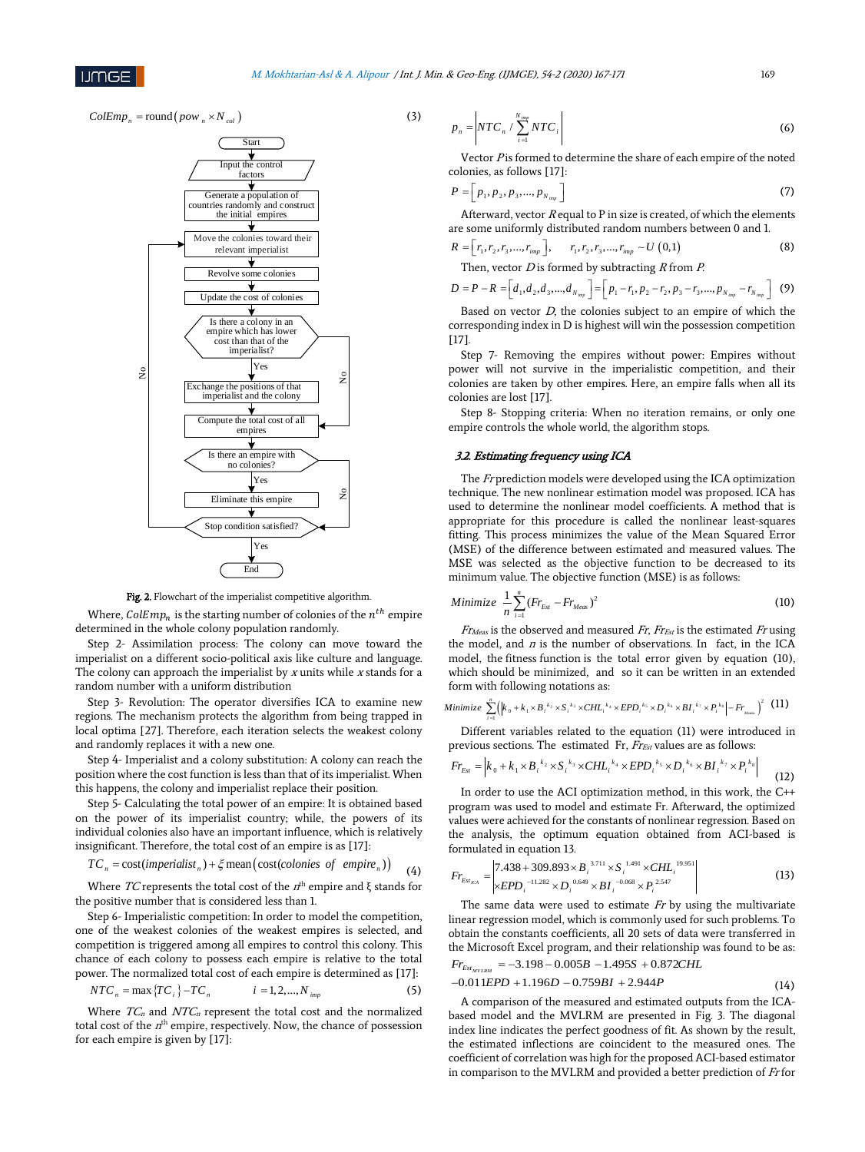$ColEmp_n = \text{round}(pow_n \times N_{col})$  (3)



Fig. 2. Flowchart of the imperialist competitive algorithm.

Where,  $\text{ColEmp}_n$  is the starting number of colonies of the  $n^{th}$  empire determined in the whole colony population randomly.

Step 2- Assimilation process: The colony can move toward the imperialist on a different socio-political axis like culture and language. The colony can approach the imperialist by  $x$  units while  $x$  stands for a random number with a uniform distribution

Step 3- Revolution: The operator diversifies ICA to examine new regions. The mechanism protects the algorithm from being trapped in local optima [27]. Therefore, each iteration selects the weakest colony and randomly replaces it with a new one.

Step 4- Imperialist and a colony substitution: A colony can reach the position where the cost function is less than that of its imperialist. When this happens, the colony and imperialist replace their position.

Step 5- Calculating the total power of an empire: It is obtained based on the power of its imperialist country; while, the powers of its individual colonies also have an important influence, which is relatively insignificant. Therefore, the total cost of an empire is as [17]:

$$
TC_n = \text{cost}(imperialist_n) + \xi \text{mean}(\text{cost}(colories of empire_n))
$$
 (4)

Where TC represents the total cost of the  $n<sup>th</sup>$  empire and ξ stands for the positive number that is considered less than 1.

Step 6- Imperialistic competition: In order to model the competition, one of the weakest colonies of the weakest empires is selected, and competition is triggered among all empires to control this colony. This chance of each colony to possess each empire is relative to the total power. The normalized total cost of each empire is determined as [17]:

$$
NTC_n = \max\left\{TC_i\right\} - TC_n \qquad i = 1, 2, ..., N_{imp} \tag{5}
$$

Where  $TC_n$  and  $NTC_n$  represent the total cost and the normalized total cost of the  $n<sup>th</sup>$  empire, respectively. Now, the chance of possession for each empire is given by [17]:

$$
p_n = \left| NTC_n / \sum_{i=1}^{N_{\text{imp}}} NTC_i \right| \tag{6}
$$

Vector  $P$  is formed to determine the share of each empire of the noted colonies, as follows [17]:

$$
P = [p_1, p_2, p_3, ..., p_{N_{\text{imp}}}]
$$
\n(7)

Afterward, vector  $R$  equal to P in size is created, of which the elements are some uniformly distributed random numbers between 0 and 1.

$$
R = [r_1, r_2, r_3, ..., r_{imp}], \t r_1, r_2, r_3, ..., r_{imp} \sim U(0,1)
$$
 (8)

Then, vector  $D$  is formed by subtracting  $R$  from  $P$ .

$$
D = P - R = \left[d_1, d_2, d_3, \dots, d_{N_{imp}}\right] = \left[p_1 - r_1, p_2 - r_2, p_3 - r_3, \dots, p_{N_{imp}} - r_{N_{imp}}\right]
$$
 (9)

Based on vector  $D$ , the colonies subject to an empire of which the corresponding index in D is highest will win the possession competition [17].

Step 7- Removing the empires without power: Empires without power will not survive in the imperialistic competition, and their colonies are taken by other empires. Here, an empire falls when all its colonies are lost [17].

Step 8- Stopping criteria: When no iteration remains, or only one empire controls the whole world, the algorithm stops.

#### 3.2. Estimating frequency using ICA

The Fr prediction models were developed using the ICA optimization technique. The new nonlinear estimation model was proposed. ICA has used to determine the nonlinear model coefficients. A method that is appropriate for this procedure is called the nonlinear least-squares fitting. This process minimizes the value of the Mean Squared Error (MSE) of the difference between estimated and measured values. The MSE was selected as the objective function to be decreased to its minimum value. The objective function (MSE) is as follows:

Minimize 
$$
\frac{1}{n} \sum_{i=1}^{n} (Fr_{Est} - Fr_{Meas})^2
$$
 (10)

 $F_{\text{Theo}}$  is the observed and measured  $F_{\text{r}}$ ,  $F_{\text{Test}}$  is the estimated  $F_{\text{r}}$  using the model, and  $n$  is the number of observations. In fact, in the ICA model, the fitness function is the total error given by equation (10), which should be minimized, and so it can be written in an extended form with following notations as:

Minimize 
$$
\sum_{i=1}^{n} (|k_0 + k_1 \times B_i^{-k_2} \times S_i^{-k_3} \times CHL_i^{-k_4} \times EPD_i^{-k_5} \times D_i^{-k_6} \times BI_i^{-k_7} \times P_i^{-k_8}| - Fr_{\text{max}})^2
$$
 (11)

Different variables related to the equation (11) were introduced in previous sections. The estimated Fr, Fr<sub>Est</sub> values are as follows:

$$
Fr_{Es} = \left| k_0 + k_1 \times B_i^{k_2} \times S_i^{k_3} \times CHL_i^{k_4} \times EPD_i^{k_5} \times D_i^{k_6} \times BI_i^{k_7} \times P_i^{k_8} \right| \tag{12}
$$

In order to use the ACI optimization method, in this work, the C++ program was used to model and estimate Fr. Afterward, the optimized values were achieved for the constants of nonlinear regression. Based on the analysis, the optimum equation obtained from ACI-based is formulated in equation 13.

$$
Fr_{Est_{\text{ECA}}} = \begin{vmatrix} 7.438 + 309.893 \times B_i^{3.711} \times S_i^{1.491} \times CHL_i^{19.951} \\ \times EPD_i^{-11.282} \times D_i^{0.649} \times BI_i^{-0.068} \times P_i^{2.547} \end{vmatrix}
$$
(13)

The same data were used to estimate  $Fr$  by using the multivariate linear regression model, which is commonly used for such problems. To obtain the constants coefficients, all 20 sets of data were transferred in the Microsoft Excel program, and their relationship was found to be as:  $Fr_{Est_{MVLRM}} = -3.198 - 0.005B - 1.495S + 0.872CHL$ 

$$
-0.011EPD + 1.196D - 0.759BI + 2.944P \tag{14}
$$

A comparison of the measured and estimated outputs from the ICAbased model and the MVLRM are presented in Fig. 3. The diagonal index line indicates the perfect goodness of fit. As shown by the result, the estimated inflections are coincident to the measured ones. The coefficient of correlation was high for the proposed ACI-based estimator in comparison to the MVLRM and provided a better prediction of Fr for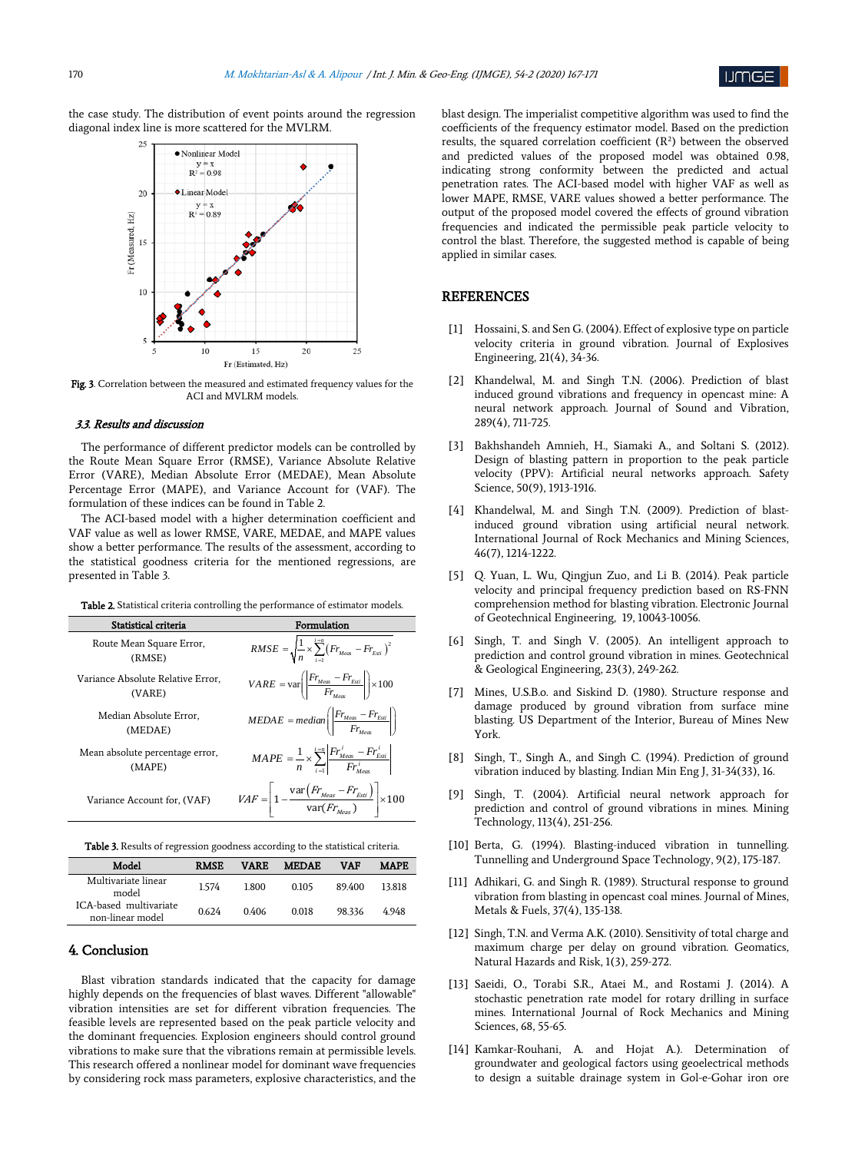

the case study. The distribution of event points around the regression diagonal index line is more scattered for the MVLRM.



Fig. 3. Correlation between the measured and estimated frequency values for the ACI and MVLRM models.

#### 3.3. Results and discussion

The performance of different predictor models can be controlled by the Route Mean Square Error (RMSE), Variance Absolute Relative Error (VARE), Median Absolute Error (MEDAE), Mean Absolute Percentage Error (MAPE), and Variance Account for (VAF). The formulation of these indices can be found in Table 2.

The ACI-based model with a higher determination coefficient and VAF value as well as lower RMSE, VARE, MEDAE, and MAPE values show a better performance. The results of the assessment, according to the statistical goodness criteria for the mentioned regressions, are presented in Table 3.

Table 2. Statistical criteria controlling the performance of estimator models.

| Statistical criteria                        | Formulation                                                                                                                              |
|---------------------------------------------|------------------------------------------------------------------------------------------------------------------------------------------|
| Route Mean Square Error,<br>(RMSE)          | $RMSE = \sqrt{\frac{1}{n}} \times \sum_{i=1}^{n} (Fr_{Meas} - Fr_{Est})^2$                                                               |
| Variance Absolute Relative Error.<br>(VARE) | $VARE = \text{var}\left(\left \frac{Fr_{\text{Meas}} - Fr_{\text{Esi}}}{Fr}\right \right) \times 100$                                    |
| Median Absolute Error,<br>(MEDAE)           | $\textit{MEDAE} = \textit{median}\left(\left \frac{\textit{Fr}_{\textit{Meas}} - \textit{Fr}_{\textit{Est}}}{\textit{Fr}}\right \right)$ |
| Mean absolute percentage error,<br>(MAPE)   | $MAPE = \frac{1}{n} \times \sum_{i=1}^{i=n} \left  \frac{Fr_{\text{Meas}}^i - Fr_{\text{Esti}}^i}{Fr_{\text{ex}}^i} \right $             |
| Variance Account for, (VAF)                 | $VAF = \left  1 - \frac{\text{var}(Fr_{\text{Meas}} - Fr_{\text{Est}})}{\text{var}(Fr_{\text{Meas}})} \right  \times 100$                |

| Model                                      | <b>RMSE</b> | <b>VARE</b> | <b>MEDAE</b> | VAF    | <b>MAPE</b> |
|--------------------------------------------|-------------|-------------|--------------|--------|-------------|
| Multivariate linear<br>model               | 1.574       | 1.800       | 0.105        | 89.400 | 13.818      |
| ICA-based multivariate<br>non-linear model | 0.624       | 0.406       | 0.018        | 98.336 | 4.948       |

## 4. Conclusion

Blast vibration standards indicated that the capacity for damage highly depends on the frequencies of blast waves. Different "allowable" vibration intensities are set for different vibration frequencies. The feasible levels are represented based on the peak particle velocity and the dominant frequencies. Explosion engineers should control ground vibrations to make sure that the vibrations remain at permissible levels. This research offered a nonlinear model for dominant wave frequencies by considering rock mass parameters, explosive characteristics, and the blast design. The imperialist competitive algorithm was used to find the coefficients of the frequency estimator model. Based on the prediction results, the squared correlation coefficient  $(R^2)$  between the observed and predicted values of the proposed model was obtained 0.98, indicating strong conformity between the predicted and actual penetration rates. The ACI-based model with higher VAF as well as lower MAPE, RMSE, VARE values showed a better performance. The output of the proposed model covered the effects of ground vibration frequencies and indicated the permissible peak particle velocity to control the blast. Therefore, the suggested method is capable of being applied in similar cases.

## **REFERENCES**

- [1] Hossaini, S. and Sen G. (2004). Effect of explosive type on particle velocity criteria in ground vibration. Journal of Explosives Engineering, 21(4), 34-36.
- [2] Khandelwal, M. and Singh T.N. (2006). Prediction of blast induced ground vibrations and frequency in opencast mine: A neural network approach. Journal of Sound and Vibration, 289(4), 711-725.
- [3] Bakhshandeh Amnieh, H., Siamaki A., and Soltani S. (2012). Design of blasting pattern in proportion to the peak particle velocity (PPV): Artificial neural networks approach. Safety Science, 50(9), 1913-1916.
- [4] Khandelwal, M. and Singh T.N. (2009). Prediction of blastinduced ground vibration using artificial neural network. International Journal of Rock Mechanics and Mining Sciences, 46(7), 1214-1222.
- [5] Q. Yuan, L. Wu, Qingjun Zuo, and Li B. (2014). Peak particle velocity and principal frequency prediction based on RS-FNN comprehension method for blasting vibration. Electronic Journal of Geotechnical Engineering, 19, 10043-10056.
- [6] Singh, T. and Singh V. (2005). An intelligent approach to prediction and control ground vibration in mines. Geotechnical & Geological Engineering, 23(3), 249-262.
- [7] Mines, U.S.B.o. and Siskind D. (1980). Structure response and damage produced by ground vibration from surface mine blasting. US Department of the Interior, Bureau of Mines New York.
- [8] Singh, T., Singh A., and Singh C. (1994). Prediction of ground vibration induced by blasting. Indian Min Eng J, 31-34(33), 16.
- [9] Singh, T. (2004). Artificial neural network approach for prediction and control of ground vibrations in mines. Mining Technology, 113(4), 251-256.
- [10] Berta, G. (1994). Blasting-induced vibration in tunnelling. Tunnelling and Underground Space Technology, 9(2), 175-187.
- [11] Adhikari, G. and Singh R. (1989). Structural response to ground vibration from blasting in opencast coal mines. Journal of Mines, Metals & Fuels, 37(4), 135-138.
- [12] Singh, T.N. and Verma A.K. (2010). Sensitivity of total charge and maximum charge per delay on ground vibration. Geomatics, Natural Hazards and Risk, 1(3), 259-272.
- [13] Saeidi, O., Torabi S.R., Ataei M., and Rostami J. (2014). A stochastic penetration rate model for rotary drilling in surface mines. International Journal of Rock Mechanics and Mining Sciences, 68, 55-65.
- [14] Kamkar-Rouhani, A. and Hojat A.). Determination of groundwater and geological factors using geoelectrical methods to design a suitable drainage system in Gol-e-Gohar iron ore